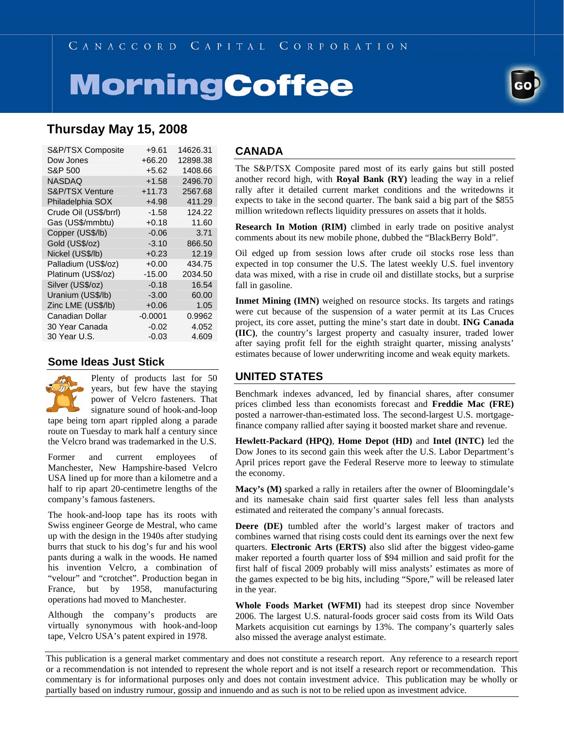# **MorningCoffee**



# **Thursday May 15, 2008**

| S&P/TSX Composite     | +9.61     | 14626.31 |
|-----------------------|-----------|----------|
| Dow Jones             | $+66.20$  | 12898.38 |
| S&P 500               | $+5.62$   | 1408.66  |
| <b>NASDAQ</b>         | $+1.58$   | 2496.70  |
| S&P/TSX Venture       | $+11.73$  | 2567.68  |
| Philadelphia SOX      | $+4.98$   | 411.29   |
| Crude Oil (US\$/brrl) | $-1.58$   | 124.22   |
| Gas (US\$/mmbtu)      | $+0.18$   | 11.60    |
| Copper (US\$/lb)      | $-0.06$   | 3.71     |
| Gold (US\$/oz)        | $-3.10$   | 866.50   |
| Nickel (US\$/lb)      | $+0.23$   | 12.19    |
| Palladium (US\$/oz)   | $+0.00$   | 434.75   |
| Platinum (US\$/oz)    | $-15.00$  | 2034.50  |
| Silver (US\$/oz)      | $-0.18$   | 16.54    |
| Uranium (US\$/lb)     | $-3.00$   | 60.00    |
| Zinc LME (US\$/lb)    | $+0.06$   | 1.05     |
| Canadian Dollar       | $-0.0001$ | 0.9962   |
| 30 Year Canada        | $-0.02$   | 4.052    |
| 30 Year U.S.          | $-0.03$   | 4.609    |

### **Some Ideas Just Stick**



Plenty of products last for 50 years, but few have the staying power of Velcro fasteners. That signature sound of hook-and-loop

tape being torn apart rippled along a parade route on Tuesday to mark half a century since the Velcro brand was trademarked in the U.S.

Former and current employees of Manchester, New Hampshire-based Velcro USA lined up for more than a kilometre and a half to rip apart 20-centimetre lengths of the company's famous fasteners.

The hook-and-loop tape has its roots with Swiss engineer George de Mestral, who came up with the design in the 1940s after studying burrs that stuck to his dog's fur and his wool pants during a walk in the woods. He named his invention Velcro, a combination of "velour" and "crotchet". Production began in France, but by 1958, manufacturing operations had moved to Manchester.

Although the company's products are virtually synonymous with hook-and-loop tape, Velcro USA's patent expired in 1978.

#### **CANADA**

The S&P/TSX Composite pared most of its early gains but still posted another record high, with **Royal Bank (RY)** leading the way in a relief rally after it detailed current market conditions and the writedowns it expects to take in the second quarter. The bank said a big part of the \$855 million writedown reflects liquidity pressures on assets that it holds.

**Research In Motion (RIM)** climbed in early trade on positive analyst comments about its new mobile phone, dubbed the "BlackBerry Bold".

Oil edged up from session lows after crude oil stocks rose less than expected in top consumer the U.S. The latest weekly U.S. fuel inventory data was mixed, with a rise in crude oil and distillate stocks, but a surprise fall in gasoline.

**Inmet Mining (IMN)** weighed on resource stocks. Its targets and ratings were cut because of the suspension of a water permit at its Las Cruces project, its core asset, putting the mine's start date in doubt. **ING Canada (IIC)**, the country's largest property and casualty insurer, traded lower after saying profit fell for the eighth straight quarter, missing analysts' estimates because of lower underwriting income and weak equity markets.

## **UNITED STATES**

Benchmark indexes advanced, led by financial shares, after consumer prices climbed less than economists forecast and **Freddie Mac (FRE)** posted a narrower-than-estimated loss. The second-largest U.S. mortgagefinance company rallied after saying it boosted market share and revenue.

**Hewlett-Packard (HPQ)**, **Home Depot (HD)** and **Intel (INTC)** led the Dow Jones to its second gain this week after the U.S. Labor Department's April prices report gave the Federal Reserve more to leeway to stimulate the economy.

**Macy's (M)** sparked a rally in retailers after the owner of Bloomingdale's and its namesake chain said first quarter sales fell less than analysts estimated and reiterated the company's annual forecasts.

**Deere (DE)** tumbled after the world's largest maker of tractors and combines warned that rising costs could dent its earnings over the next few quarters. **Electronic Arts (ERTS)** also slid after the biggest video-game maker reported a fourth quarter loss of \$94 million and said profit for the first half of fiscal 2009 probably will miss analysts' estimates as more of the games expected to be big hits, including "Spore," will be released later in the year.

**Whole Foods Market (WFMI)** had its steepest drop since November 2006. The largest U.S. natural-foods grocer said costs from its Wild Oats Markets acquisition cut earnings by 13%. The company's quarterly sales also missed the average analyst estimate.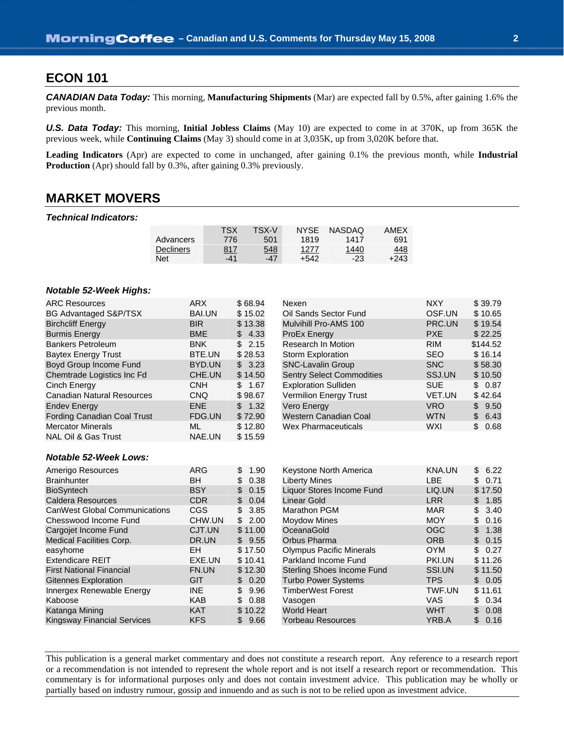## **ECON 101**

*CANADIAN Data Today:* This morning, **Manufacturing Shipments** (Mar) are expected fall by 0.5%, after gaining 1.6% the previous month.

*U.S. Data Today:* This morning, **Initial Jobless Claims** (May 10) are expected to come in at 370K, up from 365K the previous week, while **Continuing Claims** (May 3) should come in at 3,035K, up from 3,020K before that.

**Leading Indicators** (Apr) are expected to come in unchanged, after gaining 0.1% the previous month, while **Industrial Production** (Apr) should fall by 0.3%, after gaining 0.3% previously.

## **MARKET MOVERS**

#### *Technical Indicators:*

|                  | TSX | TSX-V | <b>NYSE</b> | <b>NASDAQ</b> | AMEX       |
|------------------|-----|-------|-------------|---------------|------------|
| Advancers        | 776 | 501   | 1819        | 1417          | 691        |
| <b>Decliners</b> | 817 | 548   | 1277        | 1440          | <u>448</u> |
| Net              | -41 | $-47$ | +542        | $-23$         | +243       |

#### *Notable 52-Week Highs:*

| <b>ARC Resources</b>                 | <b>ARX</b>    | \$68.94     | Nexen                            | <b>NXY</b>    | \$39.79              |
|--------------------------------------|---------------|-------------|----------------------------------|---------------|----------------------|
| BG Advantaged S&P/TSX                | <b>BAI.UN</b> | \$15.02     | Oil Sands Sector Fund            | OSF.UN        | \$10.65              |
| <b>Birchcliff Energy</b>             | <b>BIR</b>    | \$13.38     | Mulvihill Pro-AMS 100            | PRC.UN        | \$19.54              |
| <b>Burmis Energy</b>                 | <b>BME</b>    | 4.33<br>\$  | <b>ProEx Energy</b>              | <b>PXE</b>    | \$22.25              |
| <b>Bankers Petroleum</b>             | <b>BNK</b>    | \$<br>2.15  | Research In Motion               | <b>RIM</b>    | \$144.52             |
| <b>Baytex Energy Trust</b>           | BTE.UN        | \$28.53     | <b>Storm Exploration</b>         | <b>SEO</b>    | \$16.14              |
| Boyd Group Income Fund               | BYD.UN        | \$3.23      | <b>SNC-Lavalin Group</b>         | <b>SNC</b>    | \$58.30              |
| Chemtrade Logistics Inc Fd           | CHE.UN        | \$14.50     | <b>Sentry Select Commodities</b> | SSJ.UN        | \$10.50              |
| Cinch Energy                         | <b>CNH</b>    | \$<br>1.67  | <b>Exploration Sulliden</b>      | <b>SUE</b>    | \$0.87               |
| <b>Canadian Natural Resources</b>    | <b>CNQ</b>    | \$98.67     | <b>Vermilion Energy Trust</b>    | VET.UN        | \$42.64              |
| <b>Endev Energy</b>                  | <b>ENE</b>    | \$<br>1.32  | Vero Energy                      | <b>VRO</b>    | \$<br>9.50           |
| Fording Canadian Coal Trust          | FDG.UN        | \$72.90     | Western Canadian Coal            | <b>WTN</b>    | $\mathbb{S}$<br>6.43 |
| <b>Mercator Minerals</b>             | ML            | \$12.80     | <b>Wex Pharmaceuticals</b>       | WXI           | \$0.68               |
| <b>NAL Oil &amp; Gas Trust</b>       | NAE.UN        | \$15.59     |                                  |               |                      |
|                                      |               |             |                                  |               |                      |
| <b>Notable 52-Week Lows:</b>         |               |             |                                  |               |                      |
| Amerigo Resources                    | <b>ARG</b>    | \$<br>1.90  | Keystone North America           | <b>KNA.UN</b> | 6.22<br>\$           |
| <b>Brainhunter</b>                   | <b>BH</b>     | \$<br>0.38  | <b>Liberty Mines</b>             | LBE           | \$<br>0.71           |
| <b>BioSyntech</b>                    | <b>BSY</b>    | \$<br>0.15  | Liquor Stores Income Fund        | LIQ.UN        | \$17.50              |
| <b>Caldera Resources</b>             | <b>CDR</b>    | \$<br>0.04  | Linear Gold                      | <b>LRR</b>    | \$<br>1.85           |
| <b>CanWest Global Communications</b> | <b>CGS</b>    | \$<br>3.85  | <b>Marathon PGM</b>              | <b>MAR</b>    | 3.40<br>\$           |
| Chesswood Income Fund                | CHW.UN        | \$<br>2.00  | <b>Moydow Mines</b>              | <b>MOY</b>    | \$<br>0.16           |
| Cargoiet Income Fund                 | CJT.UN        | \$<br>11.00 | OceanaGold                       | OGC           | 1.38                 |

| Amerigo Resources                    | ARG        | \$<br>1.90 | Keystone North America            | KNA.UN     | \$6.22     |
|--------------------------------------|------------|------------|-----------------------------------|------------|------------|
| <b>Brainhunter</b>                   | BН         | 0.38<br>\$ | <b>Liberty Mines</b>              | LBE        | \$0.71     |
| <b>BioSyntech</b>                    | <b>BSY</b> | \$<br>0.15 | Liquor Stores Income Fund         | LIQ.UN     | \$17.50    |
| <b>Caldera Resources</b>             | CDR.       | 0.04<br>\$ | Linear Gold                       | <b>LRR</b> | \$ 1.85    |
| <b>CanWest Global Communications</b> | <b>CGS</b> | \$3.85     | Marathon PGM                      | <b>MAR</b> | \$3.40     |
| Chesswood Income Fund                | CHW.UN     | \$2.00     | <b>Moydow Mines</b>               | <b>MOY</b> | \$0.16     |
| Cargojet Income Fund                 | CJT.UN     | \$11.00    | OceanaGold                        | <b>OGC</b> | \$<br>1.38 |
| <b>Medical Facilities Corp.</b>      | DR.UN      | \$9.55     | Orbus Pharma                      | <b>ORB</b> | \$0.15     |
| easyhome                             | EH         | \$17.50    | <b>Olympus Pacific Minerals</b>   | <b>OYM</b> | \$0.27     |
| <b>Extendicare REIT</b>              | EXE.UN     | \$10.41    | Parkland Income Fund              | PKI.UN     | \$11.26    |
| <b>First National Financial</b>      | FN.UN      | \$12.30    | <b>Sterling Shoes Income Fund</b> | SSI.UN     | \$11.50    |
| <b>Gitennes Exploration</b>          | GIT        | \$0.20     | <b>Turbo Power Systems</b>        | TPS.       | \$0.05     |
| Innergex Renewable Energy            | <b>INE</b> | \$<br>9.96 | <b>TimberWest Forest</b>          | TWF.UN     | \$11.61    |
| Kaboose                              | <b>KAB</b> | 0.88<br>\$ | Vasogen                           | <b>VAS</b> | \$0.34     |
| Katanga Mining                       | <b>KAT</b> | \$10.22    | <b>World Heart</b>                | <b>WHT</b> | \$0.08     |
| <b>Kingsway Financial Services</b>   | <b>KFS</b> | 9.66       | <b>Yorbeau Resources</b>          | YRB.A      | \$0.16     |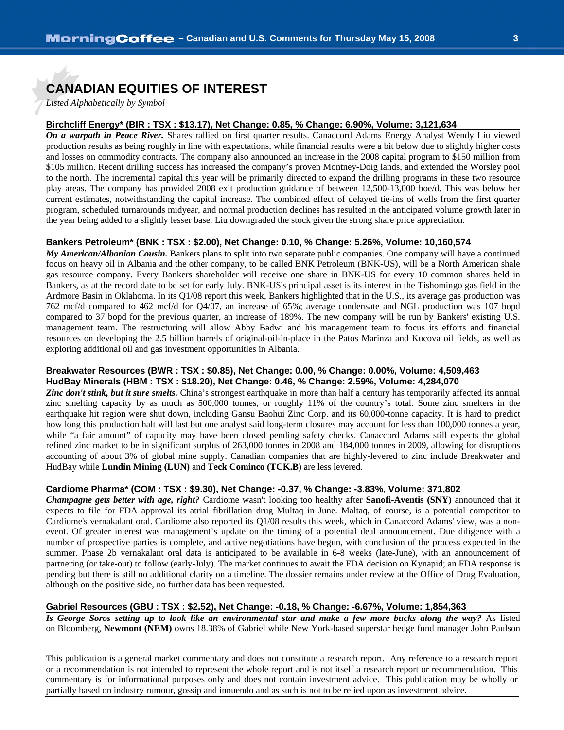# **CANADIAN EQUITIES OF INTEREST**

*Listed Alphabetically by Symbol*

#### **Birchcliff Energy\* (BIR : TSX : \$13.17), Net Change: 0.85, % Change: 6.90%, Volume: 3,121,634**

*On a warpath in Peace River.* Shares rallied on first quarter results. Canaccord Adams Energy Analyst Wendy Liu viewed production results as being roughly in line with expectations, while financial results were a bit below due to slightly higher costs and losses on commodity contracts. The company also announced an increase in the 2008 capital program to \$150 million from \$105 million. Recent drilling success has increased the company's proven Montney-Doig lands, and extended the Worsley pool to the north. The incremental capital this year will be primarily directed to expand the drilling programs in these two resource play areas. The company has provided 2008 exit production guidance of between 12,500-13,000 boe/d. This was below her current estimates, notwithstanding the capital increase. The combined effect of delayed tie-ins of wells from the first quarter program, scheduled turnarounds midyear, and normal production declines has resulted in the anticipated volume growth later in the year being added to a slightly lesser base. Liu downgraded the stock given the strong share price appreciation.

#### **Bankers Petroleum\* (BNK : TSX : \$2.00), Net Change: 0.10, % Change: 5.26%, Volume: 10,160,574**

*My American/Albanian Cousin.* Bankers plans to split into two separate public companies. One company will have a continued focus on heavy oil in Albania and the other company, to be called BNK Petroleum (BNK-US), will be a North American shale gas resource company. Every Bankers shareholder will receive one share in BNK-US for every 10 common shares held in Bankers, as at the record date to be set for early July. BNK-US's principal asset is its interest in the Tishomingo gas field in the Ardmore Basin in Oklahoma. In its Q1/08 report this week, Bankers highlighted that in the U.S., its average gas production was 762 mcf/d compared to 462 mcf/d for Q4/07, an increase of 65%; average condensate and NGL production was 107 bopd compared to 37 bopd for the previous quarter, an increase of 189%. The new company will be run by Bankers' existing U.S. management team. The restructuring will allow Abby Badwi and his management team to focus its efforts and financial resources on developing the 2.5 billion barrels of original-oil-in-place in the Patos Marinza and Kucova oil fields, as well as exploring additional oil and gas investment opportunities in Albania.

#### **Breakwater Resources (BWR : TSX : \$0.85), Net Change: 0.00, % Change: 0.00%, Volume: 4,509,463 HudBay Minerals (HBM : TSX : \$18.20), Net Change: 0.46, % Change: 2.59%, Volume: 4,284,070**

**Zinc don't stink, but it sure smelts.** China's strongest earthquake in more than half a century has temporarily affected its annual zinc smelting capacity by as much as 500,000 tonnes, or roughly 11% of the country's total. Some zinc smelters in the earthquake hit region were shut down, including Gansu Baohui Zinc Corp. and its 60,000-tonne capacity. It is hard to predict how long this production halt will last but one analyst said long-term closures may account for less than 100,000 tonnes a year, while "a fair amount" of capacity may have been closed pending safety checks. Canaccord Adams still expects the global refined zinc market to be in significant surplus of 263,000 tonnes in 2008 and 184,000 tonnes in 2009, allowing for disruptions accounting of about 3% of global mine supply. Canadian companies that are highly-levered to zinc include Breakwater and HudBay while **Lundin Mining (LUN)** and **Teck Cominco (TCK.B)** are less levered.

#### **Cardiome Pharma\* (COM : TSX : \$9.30), Net Change: -0.37, % Change: -3.83%, Volume: 371,802**

*Champagne gets better with age, right?* Cardiome wasn't looking too healthy after **Sanofi-Aventis (SNY)** announced that it expects to file for FDA approval its atrial fibrillation drug Multaq in June. Maltaq, of course, is a potential competitor to Cardiome's vernakalant oral. Cardiome also reported its Q1/08 results this week, which in Canaccord Adams' view, was a nonevent. Of greater interest was management's update on the timing of a potential deal announcement. Due diligence with a number of prospective parties is complete, and active negotiations have begun, with conclusion of the process expected in the summer. Phase 2b vernakalant oral data is anticipated to be available in 6-8 weeks (late-June), with an announcement of partnering (or take-out) to follow (early-July). The market continues to await the FDA decision on Kynapid; an FDA response is pending but there is still no additional clarity on a timeline. The dossier remains under review at the Office of Drug Evaluation, although on the positive side, no further data has been requested.

#### **Gabriel Resources (GBU : TSX : \$2.52), Net Change: -0.18, % Change: -6.67%, Volume: 1,854,363**

*Is George Soros setting up to look like an environmental star and make a few more bucks along the way?* As listed on Bloomberg, **Newmont (NEM)** owns 18.38% of Gabriel while New York-based superstar hedge fund manager John Paulson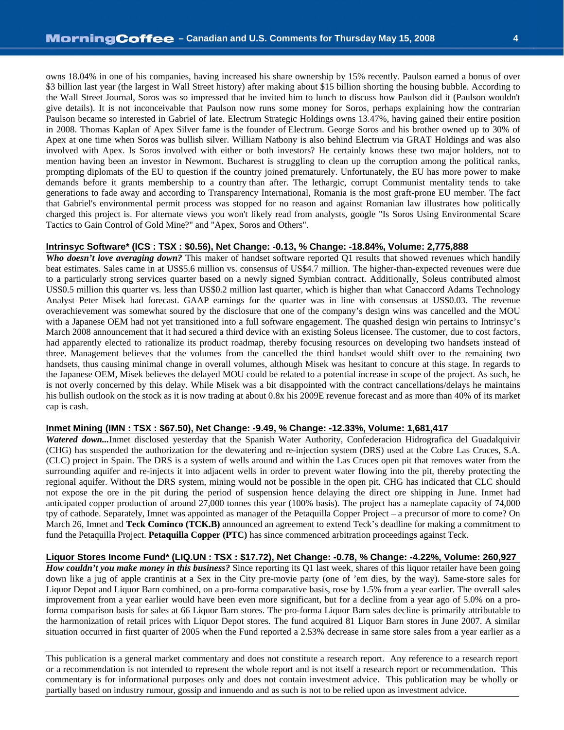owns 18.04% in one of his companies, having increased his share ownership by 15% recently. Paulson earned a bonus of over \$3 billion last year (the largest in Wall Street history) after making about \$15 billion shorting the housing bubble. According to the Wall Street Journal, Soros was so impressed that he invited him to lunch to discuss how Paulson did it (Paulson wouldn't give details). It is not inconceivable that Paulson now runs some money for Soros, perhaps explaining how the contrarian Paulson became so interested in Gabriel of late. Electrum Strategic Holdings owns 13.47%, having gained their entire position in 2008. Thomas Kaplan of Apex Silver fame is the founder of Electrum. George Soros and his brother owned up to 30% of Apex at one time when Soros was bullish silver. William Natbony is also behind Electrum via GRAT Holdings and was also involved with Apex. Is Soros involved with either or both investors? He certainly knows these two major holders, not to mention having been an investor in Newmont. Bucharest is struggling to clean up the corruption among the political ranks, prompting diplomats of the EU to question if the country joined prematurely. Unfortunately, the EU has more power to make demands before it grants membership to a country than after. The lethargic, corrupt Communist mentality tends to take generations to fade away and according to Transparency International, Romania is the most graft-prone EU member. The fact that Gabriel's environmental permit process was stopped for no reason and against Romanian law illustrates how politically charged this project is. For alternate views you won't likely read from analysts, google "Is Soros Using Environmental Scare Tactics to Gain Control of Gold Mine?" and "Apex, Soros and Others".

#### **Intrinsyc Software\* (ICS : TSX : \$0.56), Net Change: -0.13, % Change: -18.84%, Volume: 2,775,888**

*Who doesn't love averaging down?* This maker of handset software reported Q1 results that showed revenues which handily beat estimates. Sales came in at US\$5.6 million vs. consensus of US\$4.7 million. The higher-than-expected revenues were due to a particularly strong services quarter based on a newly signed Symbian contract. Additionally, Soleus contributed almost US\$0.5 million this quarter vs. less than US\$0.2 million last quarter, which is higher than what Canaccord Adams Technology Analyst Peter Misek had forecast. GAAP earnings for the quarter was in line with consensus at US\$0.03. The revenue overachievement was somewhat soured by the disclosure that one of the company's design wins was cancelled and the MOU with a Japanese OEM had not yet transitioned into a full software engagement. The quashed design win pertains to Intrinsyc's March 2008 announcement that it had secured a third device with an existing Soleus licensee. The customer, due to cost factors, had apparently elected to rationalize its product roadmap, thereby focusing resources on developing two handsets instead of three. Management believes that the volumes from the cancelled the third handset would shift over to the remaining two handsets, thus causing minimal change in overall volumes, although Misek was hesitant to concure at this stage. In regards to the Japanese OEM, Misek believes the delayed MOU could be related to a potential increase in scope of the project. As such, he is not overly concerned by this delay. While Misek was a bit disappointed with the contract cancellations/delays he maintains his bullish outlook on the stock as it is now trading at about 0.8x his 2009E revenue forecast and as more than 40% of its market cap is cash.

#### **Inmet Mining (IMN : TSX : \$67.50), Net Change: -9.49, % Change: -12.33%, Volume: 1,681,417**

*Watered down...*Inmet disclosed yesterday that the Spanish Water Authority, Confederacion Hidrografica del Guadalquivir (CHG) has suspended the authorization for the dewatering and re-injection system (DRS) used at the Cobre Las Cruces, S.A. (CLC) project in Spain. The DRS is a system of wells around and within the Las Cruces open pit that removes water from the surrounding aquifer and re-injects it into adjacent wells in order to prevent water flowing into the pit, thereby protecting the regional aquifer. Without the DRS system, mining would not be possible in the open pit. CHG has indicated that CLC should not expose the ore in the pit during the period of suspension hence delaying the direct ore shipping in June. Inmet had anticipated copper production of around 27,000 tonnes this year (100% basis). The project has a nameplate capacity of 74,000 tpy of cathode. Separately, Imnet was appointed as manager of the Petaquilla Copper Project – a precursor of more to come? On March 26, Imnet and **Teck Cominco (TCK.B)** announced an agreement to extend Teck's deadline for making a commitment to fund the Petaquilla Project. **Petaquilla Copper (PTC)** has since commenced arbitration proceedings against Teck.

#### **Liquor Stores Income Fund\* (LIQ.UN : TSX : \$17.72), Net Change: -0.78, % Change: -4.22%, Volume: 260,927**

*How couldn't you make money in this business?* Since reporting its Q1 last week, shares of this liquor retailer have been going down like a jug of apple crantinis at a Sex in the City pre-movie party (one of 'em dies, by the way). Same-store sales for Liquor Depot and Liquor Barn combined, on a pro-forma comparative basis, rose by 1.5% from a year earlier. The overall sales improvement from a year earlier would have been even more significant, but for a decline from a year ago of 5.0% on a proforma comparison basis for sales at 66 Liquor Barn stores. The pro-forma Liquor Barn sales decline is primarily attributable to the harmonization of retail prices with Liquor Depot stores. The fund acquired 81 Liquor Barn stores in June 2007. A similar situation occurred in first quarter of 2005 when the Fund reported a 2.53% decrease in same store sales from a year earlier as a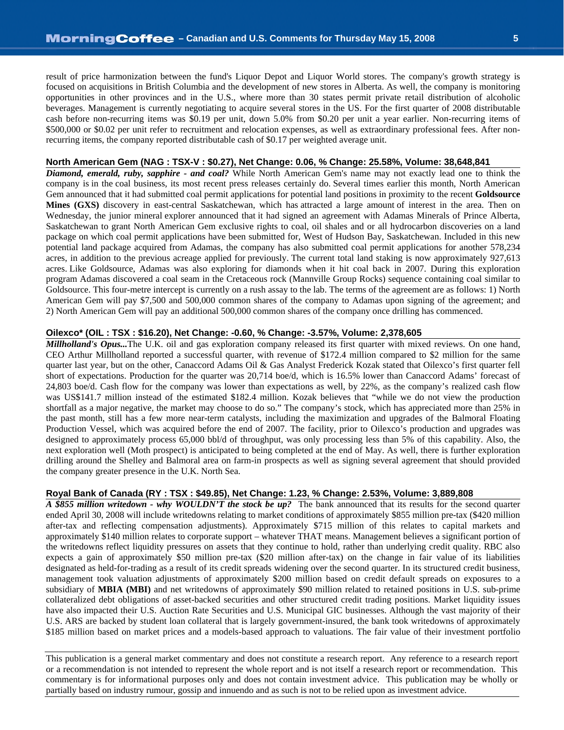result of price harmonization between the fund's Liquor Depot and Liquor World stores. The company's growth strategy is focused on acquisitions in British Columbia and the development of new stores in Alberta. As well, the company is monitoring opportunities in other provinces and in the U.S., where more than 30 states permit private retail distribution of alcoholic beverages. Management is currently negotiating to acquire several stores in the US. For the first quarter of 2008 distributable cash before non-recurring items was \$0.19 per unit, down 5.0% from \$0.20 per unit a year earlier. Non-recurring items of \$500,000 or \$0.02 per unit refer to recruitment and relocation expenses, as well as extraordinary professional fees. After nonrecurring items, the company reported distributable cash of \$0.17 per weighted average unit.

#### **North American Gem (NAG : TSX-V : \$0.27), Net Change: 0.06, % Change: 25.58%, Volume: 38,648,841**

*Diamond, emerald, ruby, sapphire - and coal?* While North American Gem's name may not exactly lead one to think the company is in the coal business, its most recent press releases certainly do. Several times earlier this month, North American Gem announced that it had submitted coal permit applications for potential land positions in proximity to the recent **Goldsource Mines (GXS)** discovery in east-central Saskatchewan, which has attracted a large amount of interest in the area. Then on Wednesday, the junior mineral explorer announced that it had signed an agreement with Adamas Minerals of Prince Alberta, Saskatchewan to grant North American Gem exclusive rights to coal, oil shales and or all hydrocarbon discoveries on a land package on which coal permit applications have been submitted for, West of Hudson Bay, Saskatchewan. Included in this new potential land package acquired from Adamas, the company has also submitted coal permit applications for another 578,234 acres, in addition to the previous acreage applied for previously. The current total land staking is now approximately 927,613 acres. Like Goldsource, Adamas was also exploring for diamonds when it hit coal back in 2007. During this exploration program Adamas discovered a coal seam in the Cretaceous rock (Mannville Group Rocks) sequence containing coal similar to Goldsource. This four-metre intercept is currently on a rush assay to the lab. The terms of the agreement are as follows: 1) North American Gem will pay \$7,500 and 500,000 common shares of the company to Adamas upon signing of the agreement; and 2) North American Gem will pay an additional 500,000 common shares of the company once drilling has commenced.

#### **Oilexco\* (OIL : TSX : \$16.20), Net Change: -0.60, % Change: -3.57%, Volume: 2,378,605**

*Millholland's Opus...*The U.K. oil and gas exploration company released its first quarter with mixed reviews. On one hand, CEO Arthur Millholland reported a successful quarter, with revenue of \$172.4 million compared to \$2 million for the same quarter last year, but on the other, Canaccord Adams Oil & Gas Analyst Frederick Kozak stated that Oilexco's first quarter fell short of expectations. Production for the quarter was 20,714 boe/d, which is 16.5% lower than Canaccord Adams' forecast of 24,803 boe/d. Cash flow for the company was lower than expectations as well, by 22%, as the company's realized cash flow was US\$141.7 million instead of the estimated \$182.4 million. Kozak believes that "while we do not view the production shortfall as a major negative, the market may choose to do so." The company's stock, which has appreciated more than 25% in the past month, still has a few more near-term catalysts, including the maximization and upgrades of the Balmoral Floating Production Vessel, which was acquired before the end of 2007. The facility, prior to Oilexco's production and upgrades was designed to approximately process 65,000 bbl/d of throughput, was only processing less than 5% of this capability. Also, the next exploration well (Moth prospect) is anticipated to being completed at the end of May. As well, there is further exploration drilling around the Shelley and Balmoral area on farm-in prospects as well as signing several agreement that should provided the company greater presence in the U.K. North Sea.

#### **Royal Bank of Canada (RY : TSX : \$49.85), Net Change: 1.23, % Change: 2.53%, Volume: 3,889,808**

*A \$855 million writedown - why WOULDN'T the stock be up?* The bank announced that its results for the second quarter ended April 30, 2008 will include writedowns relating to market conditions of approximately \$855 million pre-tax (\$420 million after-tax and reflecting compensation adjustments). Approximately \$715 million of this relates to capital markets and approximately \$140 million relates to corporate support – whatever THAT means. Management believes a significant portion of the writedowns reflect liquidity pressures on assets that they continue to hold, rather than underlying credit quality. RBC also expects a gain of approximately \$50 million pre-tax (\$20 million after-tax) on the change in fair value of its liabilities designated as held-for-trading as a result of its credit spreads widening over the second quarter. In its structured credit business, management took valuation adjustments of approximately \$200 million based on credit default spreads on exposures to a subsidiary of **MBIA (MBI)** and net writedowns of approximately \$90 million related to retained positions in U.S. sub-prime collateralized debt obligations of asset-backed securities and other structured credit trading positions. Market liquidity issues have also impacted their U.S. Auction Rate Securities and U.S. Municipal GIC businesses. Although the vast majority of their U.S. ARS are backed by student loan collateral that is largely government-insured, the bank took writedowns of approximately \$185 million based on market prices and a models-based approach to valuations. The fair value of their investment portfolio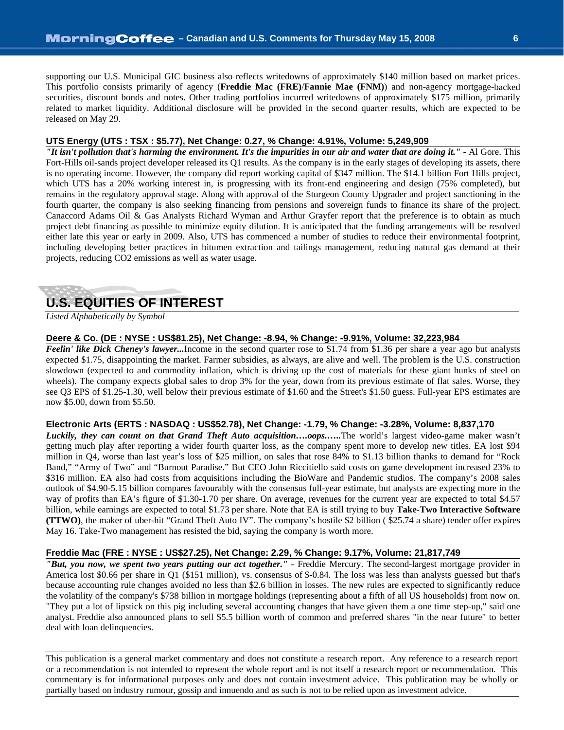supporting our U.S. Municipal GIC business also reflects writedowns of approximately \$140 million based on market prices. This portfolio consists primarily of agency (**Freddie Mac (FRE)**/**Fannie Mae (FNM)**) and non-agency mortgage-backed securities, discount bonds and notes. Other trading portfolios incurred writedowns of approximately \$175 million, primarily related to market liquidity. Additional disclosure will be provided in the second quarter results, which are expected to be released on May 29.

#### **UTS Energy (UTS : TSX : \$5.77), Net Change: 0.27, % Change: 4.91%, Volume: 5,249,909**

*"It isn't pollution that's harming the environment. It's the impurities in our air and water that are doing it."* - Al Gore. This Fort-Hills oil-sands project developer released its Q1 results. As the company is in the early stages of developing its assets, there is no operating income. However, the company did report working capital of \$347 million. The \$14.1 billion Fort Hills project, which UTS has a 20% working interest in, is progressing with its front-end engineering and design (75% completed), but remains in the regulatory approval stage. Along with approval of the Sturgeon County Upgrader and project sanctioning in the fourth quarter, the company is also seeking financing from pensions and sovereign funds to finance its share of the project. Canaccord Adams Oil & Gas Analysts Richard Wyman and Arthur Grayfer report that the preference is to obtain as much project debt financing as possible to minimize equity dilution. It is anticipated that the funding arrangements will be resolved either late this year or early in 2009. Also, UTS has commenced a number of studies to reduce their environmental footprint, including developing better practices in bitumen extraction and tailings management, reducing natural gas demand at their projects, reducing CO2 emissions as well as water usage.

# **U.S. EQUITIES OF INTEREST**

*Listed Alphabetically by Symbol*

#### **Deere & Co. (DE : NYSE : US\$81.25), Net Change: -8.94, % Change: -9.91%, Volume: 32,223,984**

*Feelin' like Dick Cheney's lawyer...*Income in the second quarter rose to \$1.74 from \$1.36 per share a year ago but analysts expected \$1.75, disappointing the market. Farmer subsidies, as always, are alive and well. The problem is the U.S. construction slowdown (expected to and commodity inflation, which is driving up the cost of materials for these giant hunks of steel on wheels). The company expects global sales to drop 3% for the year, down from its previous estimate of flat sales. Worse, they see Q3 EPS of \$1.25-1.30, well below their previous estimate of \$1.60 and the Street's \$1.50 guess. Full-year EPS estimates are now \$5.00, down from \$5.50.

#### **Electronic Arts (ERTS : NASDAQ : US\$52.78), Net Change: -1.79, % Change: -3.28%, Volume: 8,837,170**

*Luckily, they can count on that Grand Theft Auto acquisition….oops.…..*The world's largest video-game maker wasn't getting much play after reporting a wider fourth quarter loss, as the company spent more to develop new titles. EA lost \$94 million in Q4, worse than last year's loss of \$25 million, on sales that rose 84% to \$1.13 billion thanks to demand for "Rock Band," "Army of Two" and "Burnout Paradise." But CEO John Riccitiello said costs on game development increased 23% to \$316 million. EA also had costs from acquisitions including the BioWare and Pandemic studios. The company's 2008 sales outlook of \$4.90-5.15 billion compares favourably with the consensus full-year estimate, but analysts are expecting more in the way of profits than EA's figure of \$1.30-1.70 per share. On average, revenues for the current year are expected to total \$4.57 billion, while earnings are expected to total \$1.73 per share. Note that EA is still trying to buy **Take-Two Interactive Software (TTWO)**, the maker of uber-hit "Grand Theft Auto IV". The company's hostile \$2 billion ( \$25.74 a share) tender offer expires May 16. Take-Two management has resisted the bid, saying the company is worth more.

#### **Freddie Mac (FRE : NYSE : US\$27.25), Net Change: 2.29, % Change: 9.17%, Volume: 21,817,749**

*"But, you now, we spent two years putting our act together."* - Freddie Mercury. The second-largest mortgage provider in America lost \$0.66 per share in Q1 (\$151 million), vs. consensus of \$-0.84. The loss was less than analysts guessed but that's because accounting rule changes avoided no less than \$2.6 billion in losses. The new rules are expected to significantly reduce the volatility of the company's \$738 billion in mortgage holdings (representing about a fifth of all US households) from now on. "They put a lot of lipstick on this pig including several accounting changes that have given them a one time step-up," said one analyst. Freddie also announced plans to sell \$5.5 billion worth of common and preferred shares "in the near future" to better deal with loan delinquencies.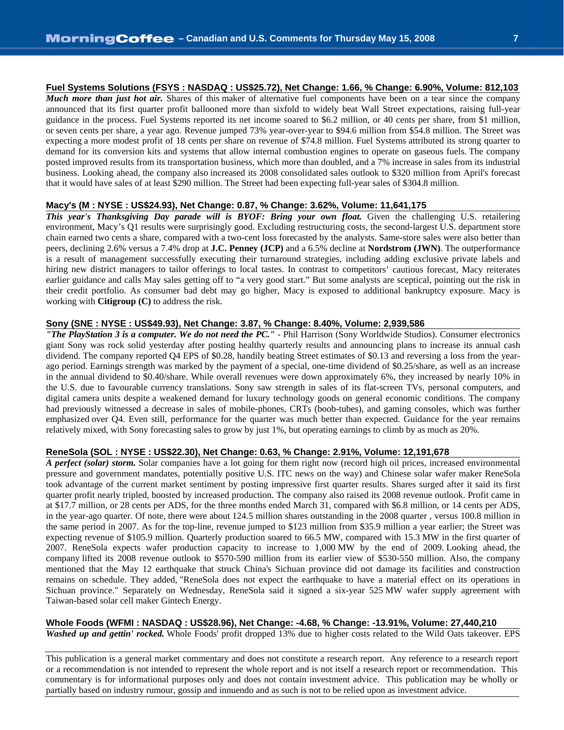**Fuel Systems Solutions (FSYS : NASDAQ : US\$25.72), Net Change: 1.66, % Change: 6.90%, Volume: 812,103** *Much more than just hot air.* Shares of this maker of alternative fuel components have been on a tear since the company announced that its first quarter profit ballooned more than sixfold to widely beat Wall Street expectations, raising full-year guidance in the process. Fuel Systems reported its net income soared to \$6.2 million, or 40 cents per share, from \$1 million, or seven cents per share, a year ago. Revenue jumped 73% year-over-year to \$94.6 million from \$54.8 million. The Street was expecting a more modest profit of 18 cents per share on revenue of \$74.8 million. Fuel Systems attributed its strong quarter to demand for its conversion kits and systems that allow internal combustion engines to operate on gaseous fuels. The company posted improved results from its transportation business, which more than doubled, and a 7% increase in sales from its industrial business. Looking ahead, the company also increased its 2008 consolidated sales outlook to \$320 million from April's forecast that it would have sales of at least \$290 million. The Street had been expecting full-year sales of \$304.8 million.

#### **Macy's (M : NYSE : US\$24.93), Net Change: 0.87, % Change: 3.62%, Volume: 11,641,175**

*This year's Thanksgiving Day parade will is BYOF: Bring your own float.* Given the challenging U.S. retailering environment, Macy's Q1 results were surprisingly good. Excluding restructuring costs, the second-largest U.S. department store chain earned two cents a share, compared with a two-cent loss forecasted by the analysts. Same-store sales were also better than peers, declining 2.6% versus a 7.4% drop at **J.C. Penney (JCP)** and a 6.5% decline at **Nordstrom (JWN)**. The outperformance is a result of management successfully executing their turnaround strategies, including adding exclusive private labels and hiring new district managers to tailor offerings to local tastes. In contrast to competitors' cautious forecast, Macy reiterates earlier guidance and calls May sales getting off to "a very good start." But some analysts are sceptical, pointing out the risk in their credit portfolio. As consumer bad debt may go higher, Macy is exposed to additional bankruptcy exposure. Macy is working with **Citigroup (C)** to address the risk.

#### **Sony (SNE : NYSE : US\$49.93), Net Change: 3.87, % Change: 8.40%, Volume: 2,939,586**

*"The PlayStation 3 is a computer. We do not need the PC."* - Phil Harrison (Sony Worldwide Studios). Consumer electronics giant Sony was rock solid yesterday after posting healthy quarterly results and announcing plans to increase its annual cash dividend. The company reported Q4 EPS of \$0.28, handily beating Street estimates of \$0.13 and reversing a loss from the yearago period. Earnings strength was marked by the payment of a special, one-time dividend of \$0.25/share, as well as an increase in the annual dividend to \$0.40/share. While overall revenues were down approximately 6%, they increased by nearly 10% in the U.S. due to favourable currency translations. Sony saw strength in sales of its flat-screen TVs, personal computers, and digital camera units despite a weakened demand for luxury technology goods on general economic conditions. The company had previously witnessed a decrease in sales of mobile-phones, CRTs (boob-tubes), and gaming consoles, which was further emphasized over Q4. Even still, performance for the quarter was much better than expected. Guidance for the year remains relatively mixed, with Sony forecasting sales to grow by just 1%, but operating earnings to climb by as much as 20%.

#### **ReneSola (SOL : NYSE : US\$22.30), Net Change: 0.63, % Change: 2.91%, Volume: 12,191,678**

*A perfect (solar) storm.* Solar companies have a lot going for them right now (record high oil prices, increased environmental pressure and government mandates, potentially positive U.S. ITC news on the way) and Chinese solar wafer maker ReneSola took advantage of the current market sentiment by posting impressive first quarter results. Shares surged after it said its first quarter profit nearly tripled, boosted by increased production. The company also raised its 2008 revenue outlook. Profit came in at \$17.7 million, or 28 cents per ADS, for the three months ended March 31, compared with \$6.8 million, or 14 cents per ADS, in the year-ago quarter. Of note, there were about 124.5 million shares outstanding in the 2008 quarter , versus 100.8 million in the same period in 2007. As for the top-line, revenue jumped to \$123 million from \$35.9 million a year earlier; the Street was expecting revenue of \$105.9 million. Quarterly production soared to 66.5 MW, compared with 15.3 MW in the first quarter of 2007. ReneSola expects wafer production capacity to increase to 1,000 MW by the end of 2009. Looking ahead, the company lifted its 2008 revenue outlook to \$570-590 million from its earlier view of \$530-550 million. Also, the company mentioned that the May 12 earthquake that struck China's Sichuan province did not damage its facilities and construction remains on schedule. They added, "ReneSola does not expect the earthquake to have a material effect on its operations in Sichuan province." Separately on Wednesday, ReneSola said it signed a six-year 525 MW wafer supply agreement with Taiwan-based solar cell maker Gintech Energy.

#### **Whole Foods (WFMI : NASDAQ : US\$28.96), Net Change: -4.68, % Change: -13.91%, Volume: 27,440,210**

*Washed up and gettin' rocked.* Whole Foods' profit dropped 13% due to higher costs related to the Wild Oats takeover. EPS